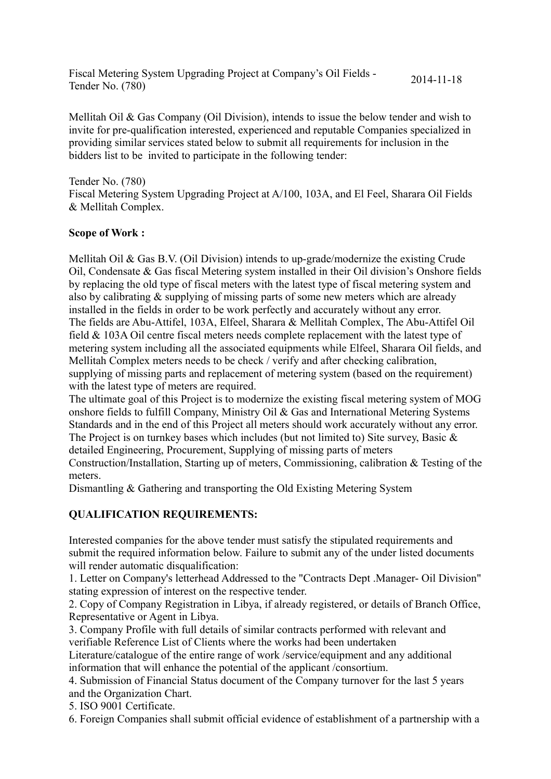Fiscal Metering System Upgrading Project at Company's Oil Fields - Tender No. (780) 2014-11-18

Mellitah Oil & Gas Company (Oil Division), intends to issue the below tender and wish to invite for pre-qualification interested, experienced and reputable Companies specialized in providing similar services stated below to submit all requirements for inclusion in the bidders list to be invited to participate in the following tender:

Tender No. (780)

Fiscal Metering System Upgrading Project at A/100, 103A, and El Feel, Sharara Oil Fields & Mellitah Complex.

## **Scope of Work :**

Mellitah Oil & Gas B.V. (Oil Division) intends to up-grade/modernize the existing Crude Oil, Condensate & Gas fiscal Metering system installed in their Oil division's Onshore fields by replacing the old type of fiscal meters with the latest type of fiscal metering system and also by calibrating & supplying of missing parts of some new meters which are already installed in the fields in order to be work perfectly and accurately without any error. The fields are Abu-Attifel, 103A, Elfeel, Sharara & Mellitah Complex, The Abu-Attifel Oil field & 103A Oil centre fiscal meters needs complete replacement with the latest type of metering system including all the associated equipments while Elfeel, Sharara Oil fields, and Mellitah Complex meters needs to be check / verify and after checking calibration, supplying of missing parts and replacement of metering system (based on the requirement) with the latest type of meters are required.

The ultimate goal of this Project is to modernize the existing fiscal metering system of MOG onshore fields to fulfill Company, Ministry Oil & Gas and International Metering Systems Standards and in the end of this Project all meters should work accurately without any error. The Project is on turnkey bases which includes (but not limited to) Site survey, Basic & detailed Engineering, Procurement, Supplying of missing parts of meters

Construction/Installation, Starting up of meters, Commissioning, calibration & Testing of the meters.

Dismantling & Gathering and transporting the Old Existing Metering System

## **QUALIFICATION REQUIREMENTS:**

Interested companies for the above tender must satisfy the stipulated requirements and submit the required information below. Failure to submit any of the under listed documents will render automatic disqualification:

1. Letter on Company's letterhead Addressed to the "Contracts Dept .Manager- Oil Division" stating expression of interest on the respective tender.

2. Copy of Company Registration in Libya, if already registered, or details of Branch Office, Representative or Agent in Libya.

3. Company Profile with full details of similar contracts performed with relevant and verifiable Reference List of Clients where the works had been undertaken

Literature/catalogue of the entire range of work /service/equipment and any additional information that will enhance the potential of the applicant /consortium.

4. Submission of Financial Status document of the Company turnover for the last 5 years and the Organization Chart.

5. ISO 9001 Certificate.

6. Foreign Companies shall submit official evidence of establishment of a partnership with a